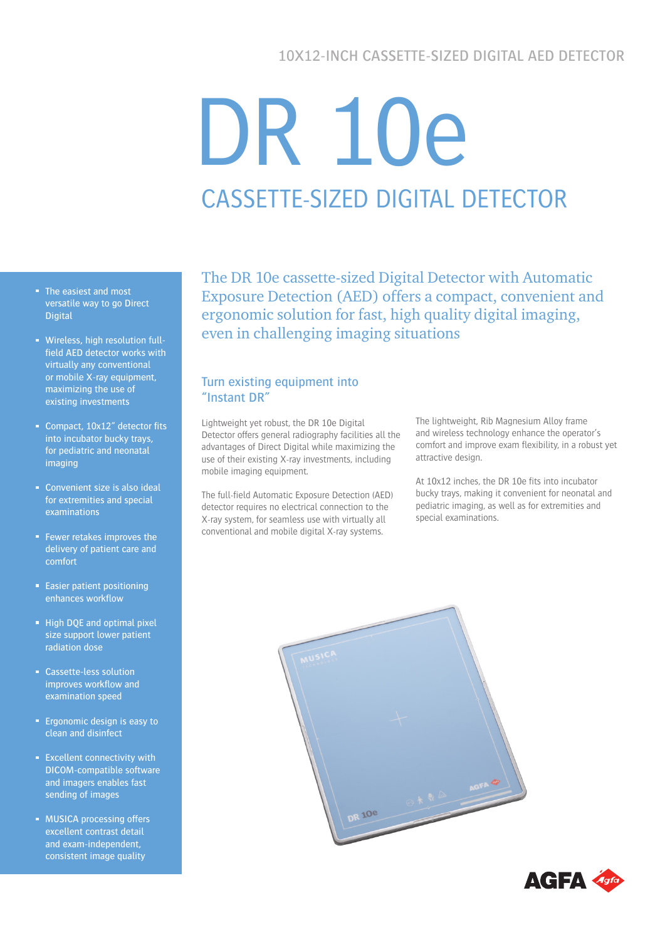# 10X12-INCH CASSETTE-SIZED DIGITAL AED DETECTOR

# DR 10e CASSETTE-SIZED DIGITAL DETECTOR

- The easiest and most versatile way to go Direct **Digital**
- Wireless, high resolution fullfield AED detector works with virtually any conventional or mobile X-ray equipment, maximizing the use of existing investments
- Compact, 10x12" detector fits into incubator bucky trays, for pediatric and neonatal imaging
- **Convenient size is also ideal** for extremities and special examinations
- **Fewer retakes improves the** delivery of patient care and comfort
- **Easier patient positioning** enhances workflow
- **High DQE and optimal pixel** size support lower patient radiation dose
- Cassette-less solution improves workflow and examination speed
- **Example 1** Ergonomic design is easy to clean and disinfect
- **Excellent connectivity with** DICOM-compatible software and imagers enables fast sending of images
- **MUSICA processing offers** excellent contrast detail and exam-independent, consistent image quality

The DR 10e cassette-sized Digital Detector with Automatic Exposure Detection (AED) offers a compact, convenient and ergonomic solution for fast, high quality digital imaging, even in challenging imaging situations

# Turn existing equipment into "Instant DR"

Lightweight yet robust, the DR 10e Digital Detector offers general radiography facilities all the advantages of Direct Digital while maximizing the use of their existing X-ray investments, including mobile imaging equipment.

The full-field Automatic Exposure Detection (AED) detector requires no electrical connection to the X-ray system, for seamless use with virtually all conventional and mobile digital X-ray systems.

The lightweight, Rib Magnesium Alloy frame and wireless technology enhance the operator's comfort and improve exam flexibility, in a robust yet attractive design.

At 10x12 inches, the DR 10e fits into incubator bucky trays, making it convenient for neonatal and pediatric imaging, as well as for extremities and special examinations.



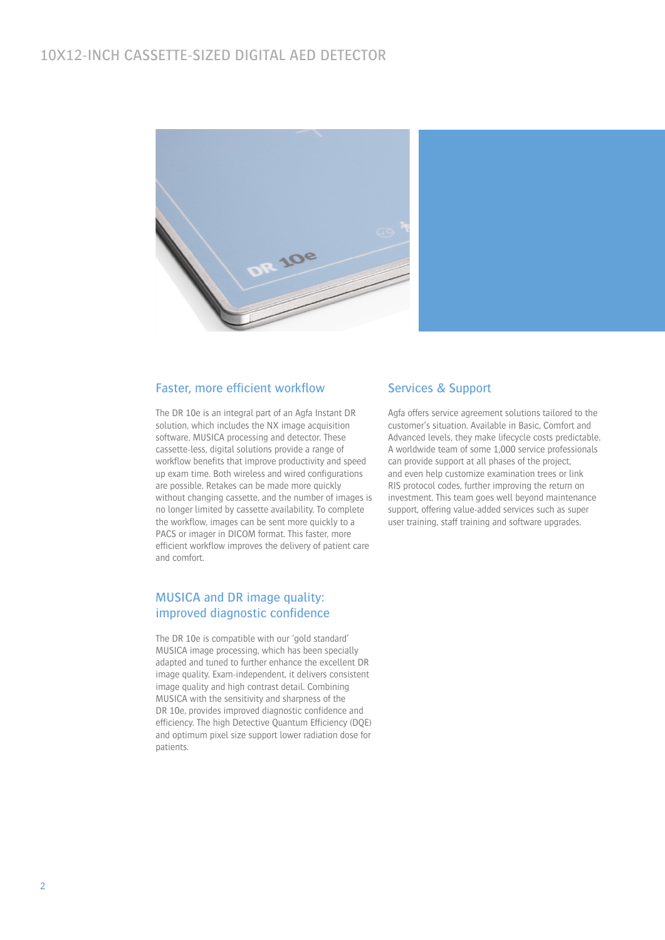# 10X12-INCH CASSETTE-SIZED DIGITAL AED DETECTOR



#### Faster, more efficient workflow

The DR 10e is an integral part of an Agfa Instant DR solution, which includes the NX image acquisition software, MUSICA processing and detector. These cassette-less, digital solutions provide a range of workflow benefits that improve productivity and speed up exam time. Both wireless and wired configurations are possible. Retakes can be made more quickly without changing cassette, and the number of images is no longer limited by cassette availability. To complete the workflow, images can be sent more quickly to a PACS or imager in DICOM format. This faster, more efficient workflow improves the delivery of patient care and comfort.

# MUSICA and DR image quality: improved diagnostic confidence

The DR 10e is compatible with our 'gold standard' MUSICA image processing, which has been specially adapted and tuned to further enhance the excellent DR image quality. Exam-independent, it delivers consistent image quality and high contrast detail. Combining MUSICA with the sensitivity and sharpness of the DR 10e, provides improved diagnostic confidence and efficiency. The high Detective Quantum Efficiency (DQE) and optimum pixel size support lower radiation dose for patients.

#### Services & Support

Agfa offers service agreement solutions tailored to the customer's situation. Available in Basic, Comfort and Advanced levels, they make lifecycle costs predictable. A worldwide team of some 1,000 service professionals can provide support at all phases of the project, and even help customize examination trees or link RIS protocol codes, further improving the return on investment. This team goes well beyond maintenance support, offering value-added services such as super user training, staff training and software upgrades.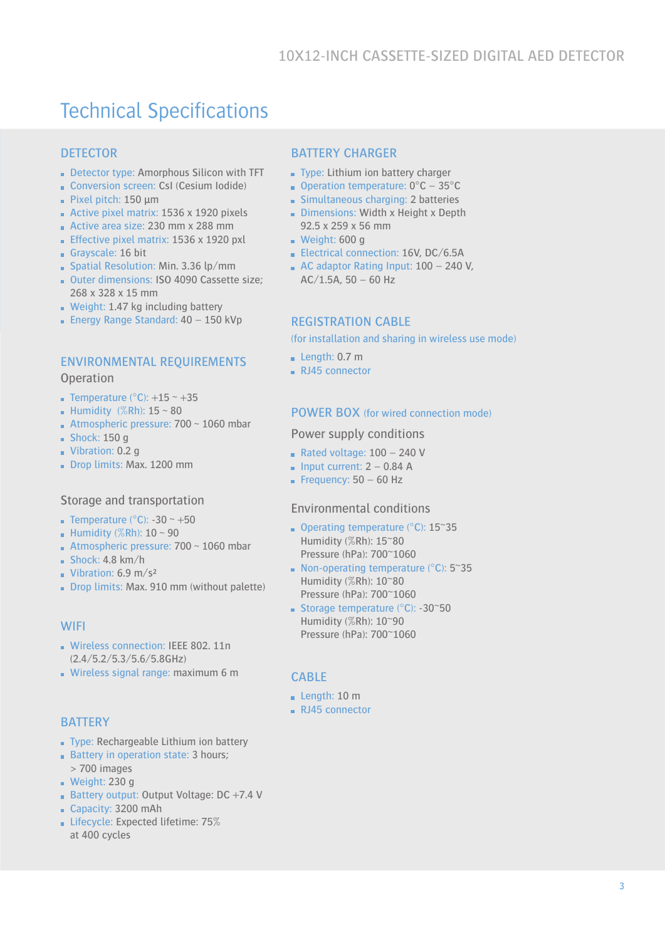# Technical Specifications

# **DETECTOR**

- Detector type: Amorphous Silicon with TFT
- Conversion screen: CsI (Cesium Iodide) Pixel pitch:  $150 \mu m$
- Active pixel matrix: 1536 x 1920 pixels
- Active area size: 230 mm x 288 mm
- **Effective pixel matrix: 1536 x 1920 pxl**
- Grayscale: 16 bit
- Spatial Resolution: Min. 3.36 lp/mm
- Outer dimensions: ISO 4090 Cassette size: 268 x 328 x 15 mm
- Weight: 1.47 kg including battery
- **Energy Range Standard: 40 150 kVp**

#### ENVIRONMENTAL REQUIREMENTS

**Operation** 

- **Temperature (°C):**  $+15 \sim +35$
- **Humidity** (%Rh):  $15 \sim 80$
- Atmospheric pressure:  $700 \sim 1060$  mbar
- $Shock: 150 q$
- Vibration: 0.2 g
- Drop limits: Max. 1200 mm

#### Storage and transportation

- **Temperature (°C): -30 ~ +50**
- Humidity  $(\%Rh): 10 \sim 90$
- Atmospheric pressure:  $700 \sim 1060$  mbar
- $Shock: 4.8 km/h$
- Vibration:  $6.9 \text{ m/s}^2$
- Drop limits: Max. 910 mm (without palette)

#### **WIFI**

- Wireless connection: IEEE 802, 11n (2.4/5.2/5.3/5.6/5.8GHz)
- Wireless signal range: maximum 6 m

#### **BATTERY**

- Type: Rechargeable Lithium ion battery
- Battery in operation state: 3 hours:
- > 700 images
- $\blacksquare$  Weight: 230 g
- **Battery output: Output Voltage: DC +7.4 V**
- Capacity: 3200 mAh
- **Expected lifetime: 75%** at 400 cycles

#### BATTERY CHARGER

- Type: Lithium ion battery charger
- **Operation temperature:**  $0^{\circ}$ **C** 35 $^{\circ}$ C
- **Simultaneous charging: 2 batteries**
- Dimensions: Width x Height x Depth 92.5 x 259 x 56 mm
- Weight:  $600 g$
- Electrical connection: 16V, DC/6.5A
- AC adaptor Rating Input:  $100 240$  V,  $AC/1.5A$ , 50 – 60 Hz

#### REGISTRATION CABLE

(for installation and sharing in wireless use mode)

- $\blacksquare$  Length: 0.7 m
- RJ45 connector

#### POWER BOX (for wired connection mode)

#### Power supply conditions

- Rated voltage:  $100 240$  V
- $\blacksquare$  Input current: 2 0.84 A
- Frequency:  $50 60$  Hz

#### Environmental conditions

- Operating temperature ( $^{\circ}$ C): 15 $^{\circ}$ 35 Humidity (%Rh): 15~80 Pressure (hPa): 700~1060
- Non-operating temperature ( $°C$ ): 5~35 Humidity (%Rh): 10~80 Pressure (hPa): 700~1060
- Storage temperature  $(^{\circ}C)$ : -30 $^{\circ}50$ Humidity (%Rh): 10~90 Pressure (hPa): 700~1060

#### CABLE

- Length: 10 m
- RJ45 connector